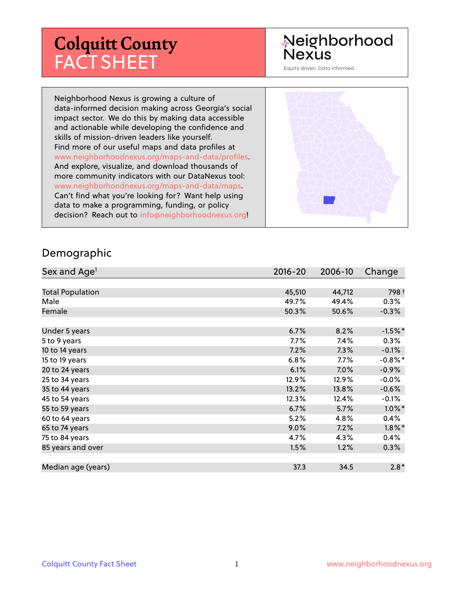# **Colquitt County** FACT SHEET

# Neighborhood Nexus

Equity driven. Data informed.

Neighborhood Nexus is growing a culture of data-informed decision making across Georgia's social impact sector. We do this by making data accessible and actionable while developing the confidence and skills of mission-driven leaders like yourself. Find more of our useful maps and data profiles at www.neighborhoodnexus.org/maps-and-data/profiles. And explore, visualize, and download thousands of more community indicators with our DataNexus tool: www.neighborhoodnexus.org/maps-and-data/maps. Can't find what you're looking for? Want help using data to make a programming, funding, or policy decision? Reach out to [info@neighborhoodnexus.org!](mailto:info@neighborhoodnexus.org)



#### Demographic

| Sex and Age <sup>1</sup> | $2016 - 20$ | 2006-10 | Change     |
|--------------------------|-------------|---------|------------|
|                          |             |         |            |
| <b>Total Population</b>  | 45,510      | 44,712  | 798 +      |
| Male                     | 49.7%       | 49.4%   | $0.3\%$    |
| Female                   | 50.3%       | 50.6%   | $-0.3%$    |
|                          |             |         |            |
| Under 5 years            | 6.7%        | 8.2%    | $-1.5%$ *  |
| 5 to 9 years             | $7.7\%$     | 7.4%    | $0.3\%$    |
| 10 to 14 years           | 7.2%        | 7.3%    | $-0.1\%$   |
| 15 to 19 years           | 6.8%        | 7.7%    | $-0.8\%$ * |
| 20 to 24 years           | 6.1%        | 7.0%    | $-0.9\%$   |
| 25 to 34 years           | 12.9%       | 12.9%   | $-0.0%$    |
| 35 to 44 years           | 13.2%       | 13.8%   | $-0.6%$    |
| 45 to 54 years           | 12.3%       | 12.4%   | $-0.1\%$   |
| 55 to 59 years           | 6.7%        | 5.7%    | $1.0\%$ *  |
| 60 to 64 years           | 5.2%        | 4.8%    | 0.4%       |
| 65 to 74 years           | 9.0%        | 7.2%    | $1.8\%$ *  |
| 75 to 84 years           | 4.7%        | 4.3%    | $0.4\%$    |
| 85 years and over        | 1.5%        | 1.2%    | $0.3\%$    |
|                          |             |         |            |
| Median age (years)       | 37.3        | 34.5    | $2.8*$     |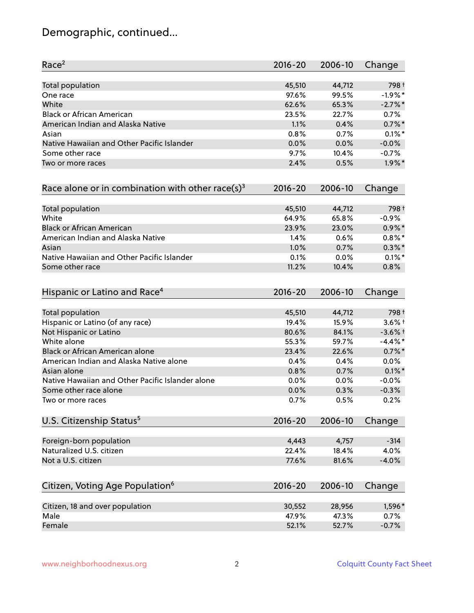# Demographic, continued...

| Race <sup>2</sup>                                   | $2016 - 20$ | 2006-10 | Change     |
|-----------------------------------------------------|-------------|---------|------------|
| <b>Total population</b>                             | 45,510      | 44,712  | 798+       |
| One race                                            | 97.6%       | 99.5%   | $-1.9%$ *  |
| White                                               | 62.6%       | 65.3%   | $-2.7\%$ * |
| <b>Black or African American</b>                    | 23.5%       | 22.7%   | 0.7%       |
| American Indian and Alaska Native                   | 1.1%        | 0.4%    | $0.7\%$ *  |
| Asian                                               | 0.8%        | 0.7%    | $0.1\%$ *  |
| Native Hawaiian and Other Pacific Islander          | 0.0%        | 0.0%    | $-0.0%$    |
| Some other race                                     | 9.7%        | 10.4%   | $-0.7%$    |
| Two or more races                                   | 2.4%        | 0.5%    | $1.9\%$ *  |
| Race alone or in combination with other race(s) $3$ | $2016 - 20$ | 2006-10 | Change     |
| Total population                                    | 45,510      | 44,712  | 798 +      |
| White                                               | 64.9%       | 65.8%   | $-0.9%$    |
| <b>Black or African American</b>                    | 23.9%       | 23.0%   | $0.9\% *$  |
| American Indian and Alaska Native                   | 1.4%        | 0.6%    | $0.8\%$ *  |
| Asian                                               | 1.0%        | 0.7%    | $0.3\%$ *  |
| Native Hawaiian and Other Pacific Islander          | 0.1%        | 0.0%    | $0.1\%$ *  |
| Some other race                                     | 11.2%       | 10.4%   | 0.8%       |
| Hispanic or Latino and Race <sup>4</sup>            | $2016 - 20$ | 2006-10 | Change     |
| Total population                                    | 45,510      | 44,712  | 798 +      |
| Hispanic or Latino (of any race)                    | 19.4%       | 15.9%   | $3.6\%$ +  |
| Not Hispanic or Latino                              | 80.6%       | 84.1%   | $-3.6%$ †  |
| White alone                                         | 55.3%       | 59.7%   | $-4.4\%$ * |
| Black or African American alone                     | 23.4%       | 22.6%   | $0.7\%$ *  |
| American Indian and Alaska Native alone             | 0.4%        | 0.4%    | 0.0%       |
| Asian alone                                         | 0.8%        | 0.7%    | $0.1\%$ *  |
| Native Hawaiian and Other Pacific Islander alone    | 0.0%        | 0.0%    | $-0.0%$    |
| Some other race alone                               | 0.0%        | 0.3%    | $-0.3%$    |
| Two or more races                                   | 0.7%        | 0.5%    | 0.2%       |
| U.S. Citizenship Status <sup>5</sup>                | $2016 - 20$ | 2006-10 | Change     |
| Foreign-born population                             | 4,443       | 4,757   | $-314$     |
| Naturalized U.S. citizen                            | 22.4%       | 18.4%   | 4.0%       |
| Not a U.S. citizen                                  | 77.6%       | 81.6%   | $-4.0%$    |
| Citizen, Voting Age Population <sup>6</sup>         | $2016 - 20$ | 2006-10 | Change     |
|                                                     |             |         |            |
| Citizen, 18 and over population                     | 30,552      | 28,956  | 1,596*     |
| Male                                                | 47.9%       | 47.3%   | 0.7%       |
| Female                                              | 52.1%       | 52.7%   | $-0.7%$    |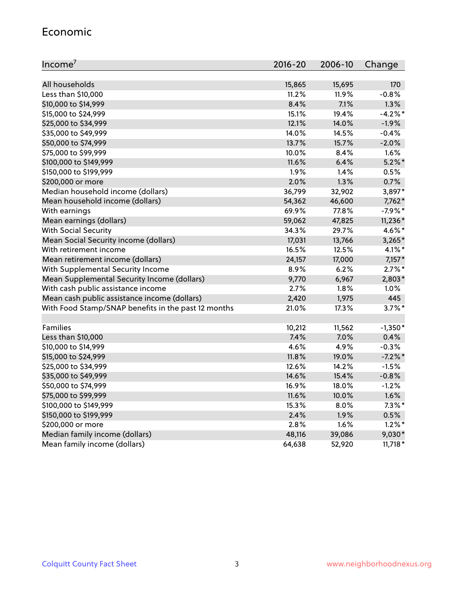#### Economic

| Income <sup>7</sup>                                 | $2016 - 20$ | 2006-10 | Change    |
|-----------------------------------------------------|-------------|---------|-----------|
|                                                     |             |         |           |
| All households                                      | 15,865      | 15,695  | 170       |
| Less than \$10,000                                  | 11.2%       | 11.9%   | $-0.8%$   |
| \$10,000 to \$14,999                                | 8.4%        | 7.1%    | 1.3%      |
| \$15,000 to \$24,999                                | 15.1%       | 19.4%   | $-4.2%$ * |
| \$25,000 to \$34,999                                | 12.1%       | 14.0%   | $-1.9%$   |
| \$35,000 to \$49,999                                | 14.0%       | 14.5%   | $-0.4%$   |
| \$50,000 to \$74,999                                | 13.7%       | 15.7%   | $-2.0%$   |
| \$75,000 to \$99,999                                | 10.0%       | 8.4%    | 1.6%      |
| \$100,000 to \$149,999                              | 11.6%       | 6.4%    | $5.2\%$ * |
| \$150,000 to \$199,999                              | 1.9%        | 1.4%    | 0.5%      |
| \$200,000 or more                                   | 2.0%        | 1.3%    | 0.7%      |
| Median household income (dollars)                   | 36,799      | 32,902  | 3,897*    |
| Mean household income (dollars)                     | 54,362      | 46,600  | $7,762*$  |
| With earnings                                       | 69.9%       | 77.8%   | $-7.9%$ * |
| Mean earnings (dollars)                             | 59,062      | 47,825  | 11,236*   |
| <b>With Social Security</b>                         | 34.3%       | 29.7%   | 4.6%*     |
| Mean Social Security income (dollars)               | 17,031      | 13,766  | $3,265*$  |
| With retirement income                              | 16.5%       | 12.5%   | 4.1%*     |
| Mean retirement income (dollars)                    | 24,157      | 17,000  | $7,157*$  |
| With Supplemental Security Income                   | 8.9%        | 6.2%    | $2.7\%$ * |
| Mean Supplemental Security Income (dollars)         | 9,770       | 6,967   | 2,803*    |
| With cash public assistance income                  | 2.7%        | $1.8\%$ | 1.0%      |
| Mean cash public assistance income (dollars)        | 2,420       | 1,975   | 445       |
| With Food Stamp/SNAP benefits in the past 12 months | 21.0%       | 17.3%   | $3.7\%$ * |
|                                                     |             |         |           |
| Families                                            | 10,212      | 11,562  | $-1,350*$ |
| Less than \$10,000                                  | 7.4%        | 7.0%    | 0.4%      |
| \$10,000 to \$14,999                                | 4.6%        | 4.9%    | $-0.3%$   |
| \$15,000 to \$24,999                                | 11.8%       | 19.0%   | $-7.2%$   |
| \$25,000 to \$34,999                                | 12.6%       | 14.2%   | $-1.5%$   |
| \$35,000 to \$49,999                                | 14.6%       | 15.4%   | $-0.8%$   |
| \$50,000 to \$74,999                                | 16.9%       | 18.0%   | $-1.2%$   |
| \$75,000 to \$99,999                                | 11.6%       | 10.0%   | 1.6%      |
| \$100,000 to \$149,999                              | $15.3\%$    | $8.0\%$ | $7.3\%$ * |
| \$150,000 to \$199,999                              | 2.4%        | 1.9%    | 0.5%      |
| \$200,000 or more                                   | 2.8%        | 1.6%    | $1.2\%$ * |
| Median family income (dollars)                      | 48,116      | 39,086  | $9,030*$  |
| Mean family income (dollars)                        | 64,638      | 52,920  | $11,718*$ |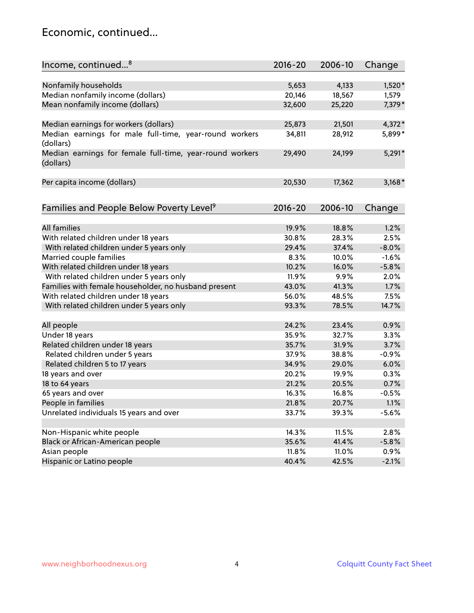### Economic, continued...

| Income, continued <sup>8</sup>                                        | $2016 - 20$ | 2006-10 | Change   |
|-----------------------------------------------------------------------|-------------|---------|----------|
|                                                                       |             |         |          |
| Nonfamily households                                                  | 5,653       | 4,133   | 1,520*   |
| Median nonfamily income (dollars)                                     | 20,146      | 18,567  | 1,579    |
| Mean nonfamily income (dollars)                                       | 32,600      | 25,220  | 7,379*   |
| Median earnings for workers (dollars)                                 | 25,873      | 21,501  | $4,372*$ |
| Median earnings for male full-time, year-round workers                | 34,811      | 28,912  | 5,899*   |
| (dollars)                                                             |             |         |          |
| Median earnings for female full-time, year-round workers<br>(dollars) | 29,490      | 24,199  | $5,291*$ |
| Per capita income (dollars)                                           | 20,530      | 17,362  | $3,168*$ |
|                                                                       |             |         |          |
| Families and People Below Poverty Level <sup>9</sup>                  | 2016-20     | 2006-10 | Change   |
| <b>All families</b>                                                   |             |         |          |
|                                                                       | 19.9%       | 18.8%   | 1.2%     |
| With related children under 18 years                                  | 30.8%       | 28.3%   | 2.5%     |
| With related children under 5 years only                              | 29.4%       | 37.4%   | $-8.0%$  |
| Married couple families                                               | 8.3%        | 10.0%   | $-1.6%$  |
| With related children under 18 years                                  | 10.2%       | 16.0%   | $-5.8%$  |
| With related children under 5 years only                              | 11.9%       | 9.9%    | 2.0%     |
| Families with female householder, no husband present                  | 43.0%       | 41.3%   | 1.7%     |
| With related children under 18 years                                  | 56.0%       | 48.5%   | 7.5%     |
| With related children under 5 years only                              | 93.3%       | 78.5%   | 14.7%    |
| All people                                                            | 24.2%       | 23.4%   | 0.9%     |
| Under 18 years                                                        | 35.9%       | 32.7%   | 3.3%     |
| Related children under 18 years                                       | 35.7%       | 31.9%   | 3.7%     |
| Related children under 5 years                                        | 37.9%       | 38.8%   | $-0.9%$  |
| Related children 5 to 17 years                                        | 34.9%       | 29.0%   | 6.0%     |
| 18 years and over                                                     | 20.2%       | 19.9%   | 0.3%     |
| 18 to 64 years                                                        | 21.2%       | 20.5%   | 0.7%     |
| 65 years and over                                                     | 16.3%       | 16.8%   | $-0.5%$  |
| People in families                                                    | 21.8%       | 20.7%   | 1.1%     |
| Unrelated individuals 15 years and over                               | 33.7%       | 39.3%   | $-5.6%$  |
|                                                                       |             |         |          |
| Non-Hispanic white people                                             | 14.3%       | 11.5%   | 2.8%     |
| Black or African-American people                                      | 35.6%       | 41.4%   | $-5.8%$  |
| Asian people                                                          | 11.8%       | 11.0%   | 0.9%     |
| Hispanic or Latino people                                             | 40.4%       | 42.5%   | $-2.1%$  |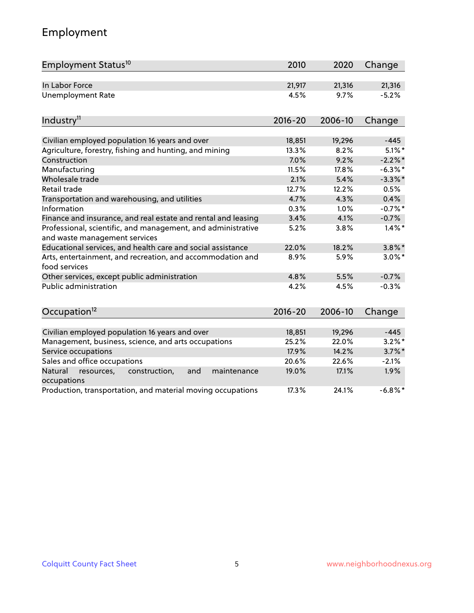# Employment

| Employment Status <sup>10</sup>                                                               | 2010        | 2020    | Change     |
|-----------------------------------------------------------------------------------------------|-------------|---------|------------|
| In Labor Force                                                                                | 21,917      | 21,316  | 21,316     |
| <b>Unemployment Rate</b>                                                                      | 4.5%        | 9.7%    | $-5.2%$    |
| Industry <sup>11</sup>                                                                        | $2016 - 20$ | 2006-10 | Change     |
|                                                                                               |             |         |            |
| Civilian employed population 16 years and over                                                | 18,851      | 19,296  | $-445$     |
| Agriculture, forestry, fishing and hunting, and mining                                        | 13.3%       | 8.2%    | $5.1\%$ *  |
| Construction                                                                                  | 7.0%        | 9.2%    | $-2.2\%$ * |
| Manufacturing                                                                                 | 11.5%       | 17.8%   | $-6.3\%$ * |
| Wholesale trade                                                                               | 2.1%        | 5.4%    | $-3.3\%$ * |
| Retail trade                                                                                  | 12.7%       | 12.2%   | 0.5%       |
| Transportation and warehousing, and utilities                                                 | 4.7%        | 4.3%    | 0.4%       |
| Information                                                                                   | 0.3%        | 1.0%    | $-0.7%$ *  |
| Finance and insurance, and real estate and rental and leasing                                 | 3.4%        | 4.1%    | $-0.7%$    |
| Professional, scientific, and management, and administrative<br>and waste management services | 5.2%        | 3.8%    | $1.4\%$ *  |
| Educational services, and health care and social assistance                                   | 22.0%       | 18.2%   | $3.8\%$ *  |
| Arts, entertainment, and recreation, and accommodation and<br>food services                   | 8.9%        | 5.9%    | $3.0\%$ *  |
| Other services, except public administration                                                  | 4.8%        | 5.5%    | $-0.7%$    |
| Public administration                                                                         | 4.2%        | 4.5%    | $-0.3%$    |
| Occupation <sup>12</sup>                                                                      | $2016 - 20$ | 2006-10 | Change     |
|                                                                                               |             |         |            |
| Civilian employed population 16 years and over                                                | 18,851      | 19,296  | $-445$     |
| Management, business, science, and arts occupations                                           | 25.2%       | 22.0%   | $3.2\%$ *  |
| Service occupations                                                                           | 17.9%       | 14.2%   | $3.7\%$ *  |
| Sales and office occupations                                                                  | 20.6%       | 22.6%   | $-2.1%$    |
| Natural<br>construction,<br>and<br>resources,<br>maintenance<br>occupations                   | 19.0%       | 17.1%   | 1.9%       |
| Production, transportation, and material moving occupations                                   | 17.3%       | 24.1%   | $-6.8\%$ * |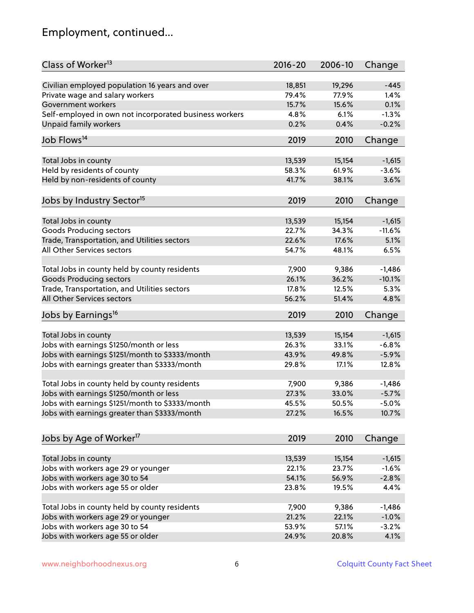# Employment, continued...

| Class of Worker <sup>13</sup>                          | $2016 - 20$ | 2006-10 | Change   |
|--------------------------------------------------------|-------------|---------|----------|
| Civilian employed population 16 years and over         | 18,851      | 19,296  | $-445$   |
| Private wage and salary workers                        | 79.4%       | 77.9%   | 1.4%     |
| Government workers                                     | 15.7%       | 15.6%   | 0.1%     |
| Self-employed in own not incorporated business workers | 4.8%        | 6.1%    | $-1.3%$  |
| Unpaid family workers                                  | 0.2%        | 0.4%    | $-0.2%$  |
|                                                        |             |         |          |
| Job Flows <sup>14</sup>                                | 2019        | 2010    | Change   |
| Total Jobs in county                                   | 13,539      | 15,154  | $-1,615$ |
| Held by residents of county                            | 58.3%       | 61.9%   | $-3.6%$  |
| Held by non-residents of county                        | 41.7%       | 38.1%   | 3.6%     |
|                                                        |             |         |          |
| Jobs by Industry Sector <sup>15</sup>                  | 2019        | 2010    | Change   |
| Total Jobs in county                                   | 13,539      | 15,154  | $-1,615$ |
| Goods Producing sectors                                | 22.7%       | 34.3%   | $-11.6%$ |
| Trade, Transportation, and Utilities sectors           | 22.6%       | 17.6%   | 5.1%     |
| All Other Services sectors                             | 54.7%       | 48.1%   | 6.5%     |
|                                                        |             |         |          |
| Total Jobs in county held by county residents          | 7,900       | 9,386   | $-1,486$ |
| <b>Goods Producing sectors</b>                         | 26.1%       | 36.2%   | $-10.1%$ |
| Trade, Transportation, and Utilities sectors           | 17.8%       | 12.5%   | 5.3%     |
| All Other Services sectors                             | 56.2%       | 51.4%   | 4.8%     |
| Jobs by Earnings <sup>16</sup>                         | 2019        | 2010    | Change   |
|                                                        |             |         |          |
| Total Jobs in county                                   | 13,539      | 15,154  | $-1,615$ |
| Jobs with earnings \$1250/month or less                | 26.3%       | 33.1%   | $-6.8%$  |
| Jobs with earnings \$1251/month to \$3333/month        | 43.9%       | 49.8%   | $-5.9%$  |
| Jobs with earnings greater than \$3333/month           | 29.8%       | 17.1%   | 12.8%    |
| Total Jobs in county held by county residents          | 7,900       | 9,386   | $-1,486$ |
| Jobs with earnings \$1250/month or less                | 27.3%       | 33.0%   | $-5.7%$  |
| Jobs with earnings \$1251/month to \$3333/month        | 45.5%       | 50.5%   | $-5.0\%$ |
| Jobs with earnings greater than \$3333/month           | 27.2%       | 16.5%   | 10.7%    |
|                                                        |             |         |          |
| Jobs by Age of Worker <sup>17</sup>                    | 2019        | 2010    | Change   |
|                                                        |             |         |          |
| Total Jobs in county                                   | 13,539      | 15,154  | $-1,615$ |
| Jobs with workers age 29 or younger                    | 22.1%       | 23.7%   | $-1.6%$  |
| Jobs with workers age 30 to 54                         | 54.1%       | 56.9%   | $-2.8%$  |
| Jobs with workers age 55 or older                      | 23.8%       | 19.5%   | 4.4%     |
| Total Jobs in county held by county residents          | 7,900       | 9,386   | $-1,486$ |
| Jobs with workers age 29 or younger                    | 21.2%       | 22.1%   | $-1.0%$  |
| Jobs with workers age 30 to 54                         | 53.9%       | 57.1%   | $-3.2%$  |
| Jobs with workers age 55 or older                      | 24.9%       | 20.8%   | 4.1%     |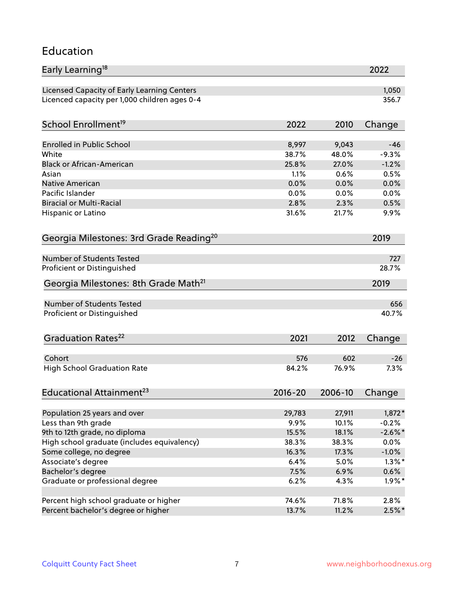#### Education

| Early Learning <sup>18</sup>                        |              |               | 2022            |
|-----------------------------------------------------|--------------|---------------|-----------------|
| Licensed Capacity of Early Learning Centers         |              |               | 1,050           |
| Licenced capacity per 1,000 children ages 0-4       |              |               | 356.7           |
| School Enrollment <sup>19</sup>                     | 2022         | 2010          | Change          |
|                                                     |              |               |                 |
| <b>Enrolled in Public School</b>                    | 8,997        | 9,043         | $-46$           |
| White<br><b>Black or African-American</b>           | 38.7%        | 48.0%         | $-9.3%$         |
|                                                     | 25.8%        | 27.0%<br>0.6% | $-1.2%$<br>0.5% |
| Asian                                               | 1.1%         |               |                 |
| <b>Native American</b><br>Pacific Islander          | 0.0%         | 0.0%          | 0.0%            |
| <b>Biracial or Multi-Racial</b>                     | 0.0%<br>2.8% | 0.0%<br>2.3%  | 0.0%<br>0.5%    |
|                                                     |              |               |                 |
| Hispanic or Latino                                  | 31.6%        | 21.7%         | 9.9%            |
| Georgia Milestones: 3rd Grade Reading <sup>20</sup> |              |               | 2019            |
| Number of Students Tested                           |              |               | 727             |
| Proficient or Distinguished                         |              |               | 28.7%           |
| Georgia Milestones: 8th Grade Math <sup>21</sup>    |              |               | 2019            |
| Number of Students Tested                           |              |               | 656             |
| Proficient or Distinguished                         |              |               | 40.7%           |
| Graduation Rates <sup>22</sup>                      | 2021         | 2012          | Change          |
|                                                     |              |               |                 |
| Cohort                                              | 576          | 602           | $-26$           |
| <b>High School Graduation Rate</b>                  | 84.2%        | 76.9%         | 7.3%            |
| Educational Attainment <sup>23</sup>                | $2016 - 20$  | 2006-10       | Change          |
|                                                     |              |               |                 |
| Population 25 years and over                        | 29,783       | 27,911        | 1,872*          |
| Less than 9th grade                                 | 9.9%         | 10.1%         | $-0.2%$         |
| 9th to 12th grade, no diploma                       | 15.5%        | 18.1%         | $-2.6\%$ *      |
| High school graduate (includes equivalency)         | 38.3%        | 38.3%         | $0.0\%$         |
| Some college, no degree                             | 16.3%        | 17.3%         | $-1.0\%$        |
| Associate's degree                                  | 6.4%         | 5.0%          | $1.3\%$ *       |
| Bachelor's degree                                   | 7.5%         | 6.9%          | $0.6\%$         |
| Graduate or professional degree                     | 6.2%         | 4.3%          | $1.9\%$ *       |
| Percent high school graduate or higher              | 74.6%        | 71.8%         | 2.8%            |
| Percent bachelor's degree or higher                 | 13.7%        | 11.2%         | $2.5\%$ *       |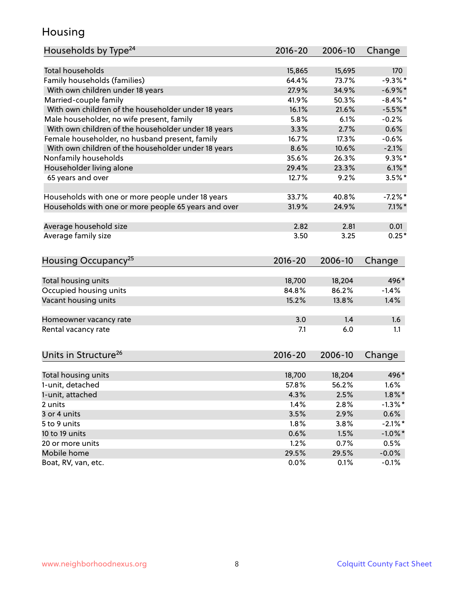### Housing

| Households by Type <sup>24</sup>                     | 2016-20     | 2006-10 | Change     |
|------------------------------------------------------|-------------|---------|------------|
|                                                      |             |         |            |
| <b>Total households</b>                              | 15,865      | 15,695  | 170        |
| Family households (families)                         | 64.4%       | 73.7%   | $-9.3%$ *  |
| With own children under 18 years                     | 27.9%       | 34.9%   | $-6.9\%$ * |
| Married-couple family                                | 41.9%       | 50.3%   | $-8.4\%$ * |
| With own children of the householder under 18 years  | 16.1%       | 21.6%   | $-5.5%$ *  |
| Male householder, no wife present, family            | 5.8%        | 6.1%    | $-0.2%$    |
| With own children of the householder under 18 years  | 3.3%        | 2.7%    | 0.6%       |
| Female householder, no husband present, family       | 16.7%       | 17.3%   | $-0.6%$    |
| With own children of the householder under 18 years  | 8.6%        | 10.6%   | $-2.1%$    |
| Nonfamily households                                 | 35.6%       | 26.3%   | $9.3\%$ *  |
| Householder living alone                             | 29.4%       | 23.3%   | $6.1\%$    |
| 65 years and over                                    | 12.7%       | 9.2%    | $3.5%$ *   |
|                                                      |             |         |            |
| Households with one or more people under 18 years    | 33.7%       | 40.8%   | $-7.2%$ *  |
| Households with one or more people 65 years and over | 31.9%       | 24.9%   | $7.1\%$ *  |
| Average household size                               | 2.82        | 2.81    | 0.01       |
| Average family size                                  | 3.50        | 3.25    | $0.25*$    |
|                                                      |             |         |            |
| Housing Occupancy <sup>25</sup>                      | $2016 - 20$ | 2006-10 | Change     |
| Total housing units                                  | 18,700      | 18,204  | 496*       |
| Occupied housing units                               | 84.8%       | 86.2%   | $-1.4%$    |
| Vacant housing units                                 | 15.2%       | 13.8%   | 1.4%       |
|                                                      |             |         |            |
| Homeowner vacancy rate                               | 3.0         | 1.4     | 1.6        |
| Rental vacancy rate                                  | 7.1         | 6.0     | 1.1        |
|                                                      |             |         |            |
| Units in Structure <sup>26</sup>                     | $2016 - 20$ | 2006-10 | Change     |
| Total housing units                                  | 18,700      | 18,204  | 496*       |
| 1-unit, detached                                     | 57.8%       | 56.2%   | 1.6%       |
|                                                      |             |         |            |
| 1-unit, attached                                     | 4.3%        | 2.5%    | $1.8\%$ *  |
| 2 units<br>3 or 4 units                              | 1.4%        | 2.8%    | $-1.3\%$ * |
|                                                      | 3.5%        | 2.9%    | 0.6%       |
| 5 to 9 units                                         | 1.8%        | 3.8%    | $-2.1\%$ * |
| 10 to 19 units                                       | 0.6%        | 1.5%    | $-1.0\%$ * |
| 20 or more units                                     | 1.2%        | 0.7%    | 0.5%       |
| Mobile home                                          | 29.5%       | 29.5%   | $-0.0%$    |
| Boat, RV, van, etc.                                  | 0.0%        | 0.1%    | $-0.1%$    |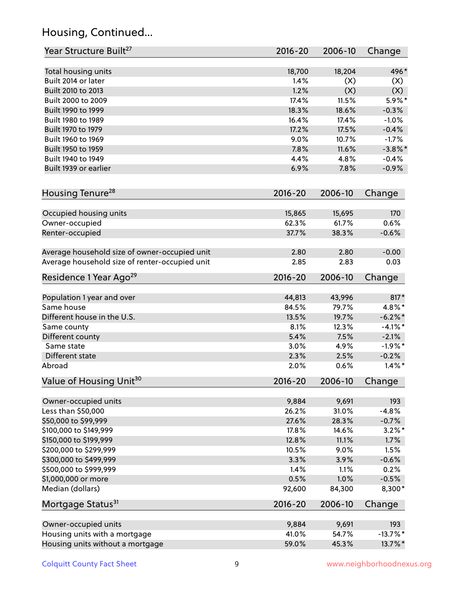# Housing, Continued...

| Year Structure Built <sup>27</sup>             | 2016-20         | 2006-10         | Change      |
|------------------------------------------------|-----------------|-----------------|-------------|
| Total housing units                            | 18,700          | 18,204          | 496*        |
| Built 2014 or later                            | 1.4%            | (X)             | (X)         |
| Built 2010 to 2013                             | 1.2%            | (X)             | (X)         |
| Built 2000 to 2009                             | 17.4%           | 11.5%           | $5.9\%$ *   |
| Built 1990 to 1999                             | 18.3%           | 18.6%           | $-0.3%$     |
| Built 1980 to 1989                             | 16.4%           | 17.4%           | $-1.0%$     |
| Built 1970 to 1979                             | 17.2%           | 17.5%           | $-0.4%$     |
| Built 1960 to 1969                             | 9.0%            | 10.7%           | $-1.7%$     |
| Built 1950 to 1959                             | 7.8%            | 11.6%           | $-3.8\%$ *  |
| Built 1940 to 1949                             | 4.4%            | 4.8%            | $-0.4%$     |
| Built 1939 or earlier                          | 6.9%            | 7.8%            | $-0.9%$     |
| Housing Tenure <sup>28</sup>                   | $2016 - 20$     | 2006-10         | Change      |
|                                                |                 |                 |             |
| Occupied housing units                         | 15,865<br>62.3% | 15,695<br>61.7% | 170<br>0.6% |
| Owner-occupied<br>Renter-occupied              | 37.7%           | 38.3%           | $-0.6%$     |
|                                                |                 |                 |             |
| Average household size of owner-occupied unit  | 2.80            | 2.80            | $-0.00$     |
| Average household size of renter-occupied unit | 2.85            | 2.83            | 0.03        |
| Residence 1 Year Ago <sup>29</sup>             | $2016 - 20$     | 2006-10         | Change      |
| Population 1 year and over                     | 44,813          | 43,996          | $817*$      |
| Same house                                     | 84.5%           | 79.7%           | 4.8%*       |
| Different house in the U.S.                    | 13.5%           | 19.7%           | $-6.2\%$ *  |
| Same county                                    | 8.1%            | 12.3%           | $-4.1%$ *   |
| Different county                               | 5.4%            | 7.5%            | $-2.1%$     |
| Same state                                     | 3.0%            | 4.9%            | $-1.9%$ *   |
| Different state                                | 2.3%            | 2.5%            | $-0.2%$     |
| Abroad                                         | 2.0%            | 0.6%            | $1.4\%$ *   |
| Value of Housing Unit <sup>30</sup>            | $2016 - 20$     | 2006-10         | Change      |
|                                                |                 |                 |             |
| Owner-occupied units                           | 9,884           | 9,691           | 193         |
| Less than \$50,000                             | 26.2%           | 31.0%           | $-4.8%$     |
| \$50,000 to \$99,999                           | 27.6%           | 28.3%           | $-0.7%$     |
| \$100,000 to \$149,999                         | 17.8%           | 14.6%           | $3.2\%$ *   |
| \$150,000 to \$199,999                         | 12.8%           | 11.1%           | 1.7%        |
| \$200,000 to \$299,999                         | 10.5%           | 9.0%            | 1.5%        |
| \$300,000 to \$499,999                         | 3.3%            | 3.9%            | $-0.6%$     |
| \$500,000 to \$999,999                         | 1.4%            | 1.1%            | 0.2%        |
| \$1,000,000 or more                            | 0.5%            | 1.0%            | $-0.5%$     |
| Median (dollars)                               | 92,600          | 84,300          | 8,300*      |
| Mortgage Status <sup>31</sup>                  | $2016 - 20$     | 2006-10         | Change      |
| Owner-occupied units                           | 9,884           | 9,691           | 193         |
| Housing units with a mortgage                  | 41.0%           | 54.7%           | $-13.7%$ *  |
| Housing units without a mortgage               | 59.0%           | 45.3%           | 13.7%*      |
|                                                |                 |                 |             |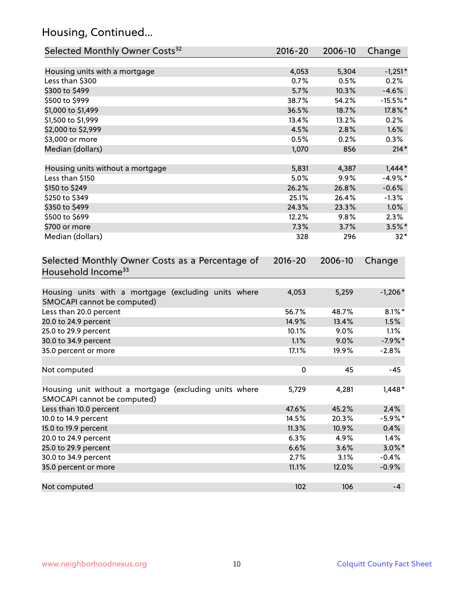# Housing, Continued...

| Selected Monthly Owner Costs <sup>32</sup>                                            | 2016-20     | 2006-10 | Change     |
|---------------------------------------------------------------------------------------|-------------|---------|------------|
| Housing units with a mortgage                                                         | 4,053       | 5,304   | $-1,251*$  |
| Less than \$300                                                                       | 0.7%        | 0.5%    | 0.2%       |
| \$300 to \$499                                                                        | 5.7%        | 10.3%   | $-4.6%$    |
| \$500 to \$999                                                                        | 38.7%       | 54.2%   | $-15.5%$ * |
| \$1,000 to \$1,499                                                                    | 36.5%       | 18.7%   | 17.8%*     |
| \$1,500 to \$1,999                                                                    | 13.4%       | 13.2%   | 0.2%       |
| \$2,000 to \$2,999                                                                    | 4.5%        | 2.8%    | 1.6%       |
| \$3,000 or more                                                                       | 0.5%        | 0.2%    | 0.3%       |
| Median (dollars)                                                                      | 1,070       | 856     | $214*$     |
| Housing units without a mortgage                                                      | 5,831       | 4,387   | $1,444*$   |
| Less than \$150                                                                       | 5.0%        | 9.9%    | $-4.9%$ *  |
| \$150 to \$249                                                                        | 26.2%       | 26.8%   | $-0.6%$    |
| \$250 to \$349                                                                        | 25.1%       | 26.4%   | $-1.3%$    |
| \$350 to \$499                                                                        | 24.3%       | 23.3%   | 1.0%       |
| \$500 to \$699                                                                        | 12.2%       | 9.8%    | 2.3%       |
| \$700 or more                                                                         | 7.3%        | 3.7%    | $3.5\%$ *  |
| Median (dollars)                                                                      | 328         | 296     | $32*$      |
| Selected Monthly Owner Costs as a Percentage of<br>Household Income <sup>33</sup>     |             |         | Change     |
| Housing units with a mortgage (excluding units where<br>SMOCAPI cannot be computed)   | 4,053       | 5,259   | $-1,206*$  |
| Less than 20.0 percent                                                                | 56.7%       | 48.7%   | $8.1\%$ *  |
| 20.0 to 24.9 percent                                                                  | 14.9%       | 13.4%   | 1.5%       |
| 25.0 to 29.9 percent                                                                  | 10.1%       | 9.0%    | 1.1%       |
| 30.0 to 34.9 percent                                                                  | 1.1%        | 9.0%    | $-7.9%$ *  |
| 35.0 percent or more                                                                  | 17.1%       | 19.9%   | $-2.8%$    |
| Not computed                                                                          | $\mathbf 0$ | 45      | -45        |
| Housing unit without a mortgage (excluding units where<br>SMOCAPI cannot be computed) | 5,729       | 4,281   | $1,448*$   |
| Less than 10.0 percent                                                                | 47.6%       | 45.2%   | 2.4%       |
| 10.0 to 14.9 percent                                                                  | 14.5%       | 20.3%   | $-5.9\%$ * |
| 15.0 to 19.9 percent                                                                  | 11.3%       | 10.9%   | 0.4%       |
| 20.0 to 24.9 percent                                                                  | 6.3%        | 4.9%    | 1.4%       |
| 25.0 to 29.9 percent                                                                  | 6.6%        | 3.6%    | $3.0\%$ *  |
| 30.0 to 34.9 percent                                                                  | 2.7%        | 3.1%    | $-0.4%$    |
| 35.0 percent or more                                                                  | 11.1%       | 12.0%   | $-0.9%$    |
| Not computed                                                                          | 102         | 106     | $-4$       |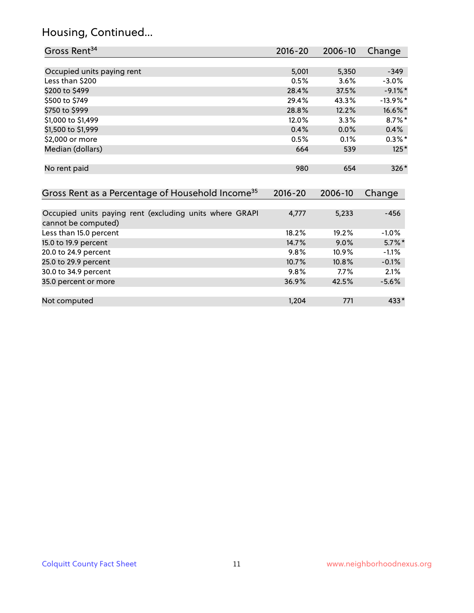# Housing, Continued...

| Gross Rent <sup>34</sup>                                     | 2016-20     | 2006-10 | Change      |
|--------------------------------------------------------------|-------------|---------|-------------|
|                                                              |             |         |             |
| Occupied units paying rent                                   | 5,001       | 5,350   | $-349$      |
| Less than \$200                                              | 0.5%        | 3.6%    | $-3.0%$     |
| \$200 to \$499                                               | 28.4%       | 37.5%   | $-9.1\%$ *  |
| \$500 to \$749                                               | 29.4%       | 43.3%   | $-13.9\%$ * |
| \$750 to \$999                                               | 28.8%       | 12.2%   | 16.6%*      |
| \$1,000 to \$1,499                                           | 12.0%       | 3.3%    | $8.7\%$ *   |
| \$1,500 to \$1,999                                           | 0.4%        | 0.0%    | 0.4%        |
| \$2,000 or more                                              | 0.5%        | 0.1%    | $0.3\%$ *   |
| Median (dollars)                                             | 664         | 539     | $125*$      |
| No rent paid                                                 | 980         | 654     | $326*$      |
| Gross Rent as a Percentage of Household Income <sup>35</sup> | $2016 - 20$ | 2006-10 | Change      |
| Occupied units paying rent (excluding units where GRAPI      | 4,777       | 5,233   | $-456$      |
| cannot be computed)                                          |             |         |             |
| Less than 15.0 percent                                       | 18.2%       | 19.2%   | $-1.0%$     |
| 15.0 to 19.9 percent                                         | 14.7%       | 9.0%    | $5.7\%$ *   |
| 20.0 to 24.9 percent                                         | 9.8%        | 10.9%   | $-1.1%$     |
| 25.0 to 29.9 percent                                         | 10.7%       | 10.8%   | $-0.1%$     |
| 30.0 to 34.9 percent                                         | 9.8%        | 7.7%    | 2.1%        |
| 35.0 percent or more                                         | 36.9%       | 42.5%   | $-5.6%$     |
| Not computed                                                 | 1,204       | 771     | $433*$      |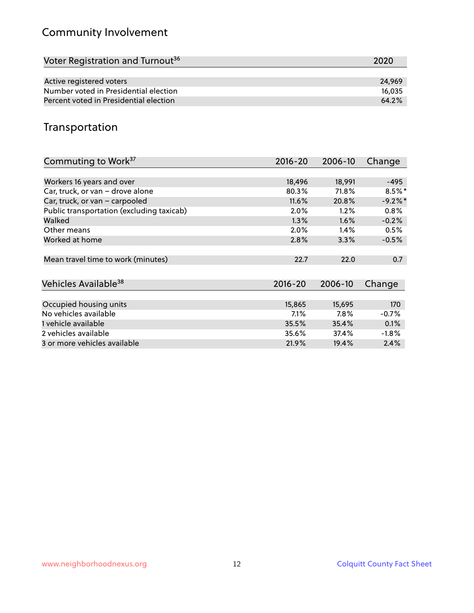# Community Involvement

| Voter Registration and Turnout <sup>36</sup> | 2020   |
|----------------------------------------------|--------|
|                                              |        |
| Active registered voters                     | 24.969 |
| Number voted in Presidential election        | 16.035 |
| Percent voted in Presidential election       | 64.2%  |

## Transportation

| Commuting to Work <sup>37</sup>           | 2016-20     | 2006-10 | Change    |
|-------------------------------------------|-------------|---------|-----------|
|                                           |             |         |           |
| Workers 16 years and over                 | 18,496      | 18,991  | $-495$    |
| Car, truck, or van - drove alone          | 80.3%       | 71.8%   | $8.5\%$ * |
| Car, truck, or van - carpooled            | 11.6%       | 20.8%   | $-9.2%$ * |
| Public transportation (excluding taxicab) | 2.0%        | 1.2%    | 0.8%      |
| Walked                                    | 1.3%        | $1.6\%$ | $-0.2%$   |
| Other means                               | 2.0%        | $1.4\%$ | 0.5%      |
| Worked at home                            | 2.8%        | 3.3%    | $-0.5%$   |
|                                           |             |         |           |
| Mean travel time to work (minutes)        | 22.7        | 22.0    | 0.7       |
|                                           |             |         |           |
| Vehicles Available <sup>38</sup>          | $2016 - 20$ | 2006-10 | Change    |
|                                           |             |         |           |
| Occupied housing units                    | 15,865      | 15,695  | 170       |
| No vehicles available                     | 7.1%        | 7.8%    | $-0.7%$   |
| 1 vehicle available                       | 35.5%       | 35.4%   | 0.1%      |
| 2 vehicles available                      | 35.6%       | 37.4%   | $-1.8%$   |
| 3 or more vehicles available              | 21.9%       | 19.4%   | 2.4%      |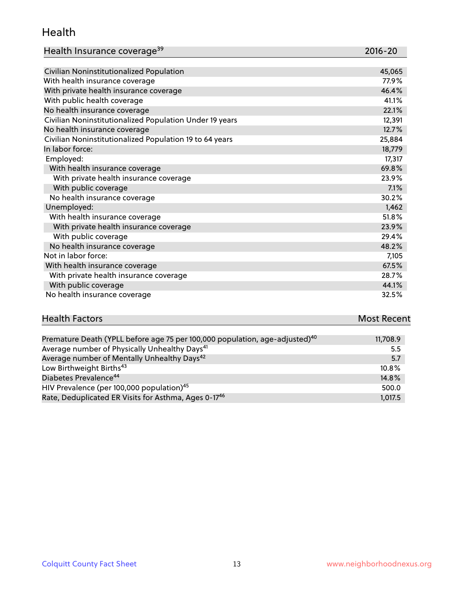#### Health

| Health Insurance coverage <sup>39</sup> | 2016-20 |
|-----------------------------------------|---------|
|-----------------------------------------|---------|

| Civilian Noninstitutionalized Population                | 45,065 |
|---------------------------------------------------------|--------|
| With health insurance coverage                          | 77.9%  |
| With private health insurance coverage                  | 46.4%  |
| With public health coverage                             | 41.1%  |
| No health insurance coverage                            | 22.1%  |
| Civilian Noninstitutionalized Population Under 19 years | 12,391 |
| No health insurance coverage                            | 12.7%  |
| Civilian Noninstitutionalized Population 19 to 64 years | 25,884 |
| In labor force:                                         | 18,779 |
| Employed:                                               | 17,317 |
| With health insurance coverage                          | 69.8%  |
| With private health insurance coverage                  | 23.9%  |
| With public coverage                                    | 7.1%   |
| No health insurance coverage                            | 30.2%  |
| Unemployed:                                             | 1,462  |
| With health insurance coverage                          | 51.8%  |
| With private health insurance coverage                  | 23.9%  |
| With public coverage                                    | 29.4%  |
| No health insurance coverage                            | 48.2%  |
| Not in labor force:                                     | 7,105  |
| With health insurance coverage                          | 67.5%  |
| With private health insurance coverage                  | 28.7%  |
| With public coverage                                    | 44.1%  |
| No health insurance coverage                            | 32.5%  |

# **Health Factors Most Recent** And The Control of the Control of The Control of The Control of The Control of The Control of The Control of The Control of The Control of The Control of The Control of The Control of The Contr

| Premature Death (YPLL before age 75 per 100,000 population, age-adjusted) <sup>40</sup> | 11,708.9 |
|-----------------------------------------------------------------------------------------|----------|
| Average number of Physically Unhealthy Days <sup>41</sup>                               | 5.5      |
| Average number of Mentally Unhealthy Days <sup>42</sup>                                 | 5.7      |
| Low Birthweight Births <sup>43</sup>                                                    | $10.8\%$ |
| Diabetes Prevalence <sup>44</sup>                                                       | 14.8%    |
| HIV Prevalence (per 100,000 population) <sup>45</sup>                                   | 500.0    |
| Rate, Deduplicated ER Visits for Asthma, Ages 0-17 <sup>46</sup>                        | 1,017.5  |